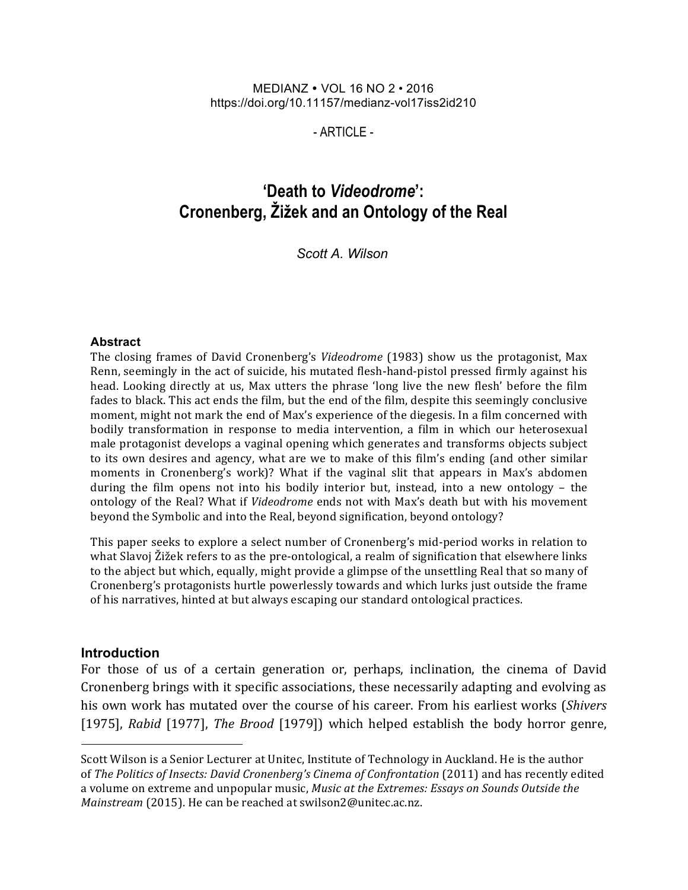#### MEDIANZ VOL 16 NO 2 • 2016 https://doi.org/10.11157/medianz-vol17iss2id210

- ARTICLE -

# **'Death to** *Videodrome***': Cronenberg, Žižek and an Ontology of the Real**

*Scott A. Wilson*

#### **Abstract**

The closing frames of David Cronenberg's *Videodrome* (1983) show us the protagonist, Max Renn, seemingly in the act of suicide, his mutated flesh-hand-pistol pressed firmly against his head. Looking directly at us, Max utters the phrase 'long live the new flesh' before the film fades to black. This act ends the film, but the end of the film, despite this seemingly conclusive moment, might not mark the end of Max's experience of the diegesis. In a film concerned with bodily transformation in response to media intervention, a film in which our heterosexual male protagonist develops a vaginal opening which generates and transforms objects subject to its own desires and agency, what are we to make of this film's ending (and other similar moments in Cronenberg's work)? What if the vaginal slit that appears in Max's abdomen during the film opens not into his bodily interior but, instead, into a new ontology - the ontology of the Real? What if *Videodrome* ends not with Max's death but with his movement beyond the Symbolic and into the Real, beyond signification, beyond ontology?

This paper seeks to explore a select number of Cronenberg's mid-period works in relation to what Slavoj Žižek refers to as the pre-ontological, a realm of signification that elsewhere links to the abject but which, equally, might provide a glimpse of the unsettling Real that so many of Cronenberg's protagonists hurtle powerlessly towards and which lurks just outside the frame of his narratives, hinted at but always escaping our standard ontological practices.

#### **Introduction**

For those of us of a certain generation or, perhaps, inclination, the cinema of David Cronenberg brings with it specific associations, these necessarily adapting and evolving as his own work has mutated over the course of his career. From his earliest works (*Shivers* [1975], *Rabid* [1977], *The Brood* [1979]) which helped establish the body horror genre,

Scott Wilson is a Senior Lecturer at Unitec, Institute of Technology in Auckland. He is the author of *The Politics of Insects: David Cronenberg's Cinema of Confrontation* (2011) and has recently edited a volume on extreme and unpopular music, *Music at the Extremes: Essays on Sounds Outside the Mainstream* (2015). He can be reached at swilson2@unitec.ac.nz.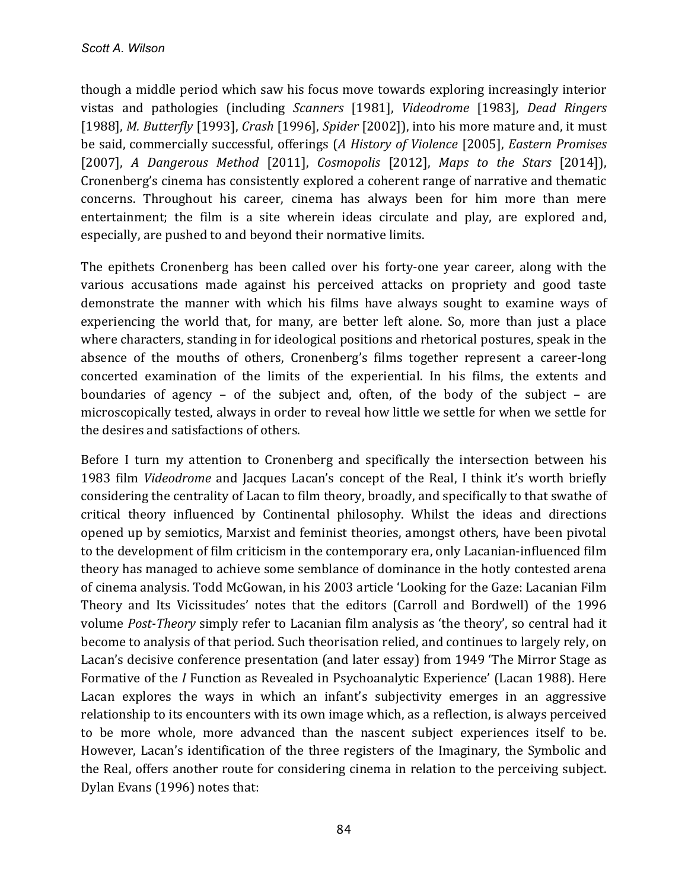though a middle period which saw his focus move towards exploring increasingly interior vistas and pathologies (including *Scanners* [1981], *Videodrome* [1983], *Dead Ringers* [1988], *M. Butterfly* [1993], *Crash* [1996], *Spider* [2002]), into his more mature and, it must be said, commercially successful, offerings (A History of Violence [2005], *Eastern Promises* [2007], A Dangerous Method [2011], *Cosmopolis* [2012], Maps to the Stars [2014]), Cronenberg's cinema has consistently explored a coherent range of narrative and thematic concerns. Throughout his career, cinema has always been for him more than mere entertainment; the film is a site wherein ideas circulate and play, are explored and, especially, are pushed to and beyond their normative limits.

The epithets Cronenberg has been called over his forty-one year career, along with the various accusations made against his perceived attacks on propriety and good taste demonstrate the manner with which his films have always sought to examine ways of experiencing the world that, for many, are better left alone. So, more than just a place where characters, standing in for ideological positions and rhetorical postures, speak in the absence of the mouths of others, Cronenberg's films together represent a career-long concerted examination of the limits of the experiential. In his films, the extents and boundaries of agency – of the subject and, often, of the body of the subject – are microscopically tested, always in order to reveal how little we settle for when we settle for the desires and satisfactions of others.

Before I turn my attention to Cronenberg and specifically the intersection between his 1983 film *Videodrome* and Jacques Lacan's concept of the Real, I think it's worth briefly considering the centrality of Lacan to film theory, broadly, and specifically to that swathe of critical theory influenced by Continental philosophy. Whilst the ideas and directions opened up by semiotics, Marxist and feminist theories, amongst others, have been pivotal to the development of film criticism in the contemporary era, only Lacanian-influenced film theory has managed to achieve some semblance of dominance in the hotly contested arena of cinema analysis. Todd McGowan, in his 2003 article 'Looking for the Gaze: Lacanian Film Theory and Its Vicissitudes' notes that the editors (Carroll and Bordwell) of the 1996 volume *Post-Theory* simply refer to Lacanian film analysis as 'the theory', so central had it become to analysis of that period. Such theorisation relied, and continues to largely rely, on Lacan's decisive conference presentation (and later essay) from 1949 'The Mirror Stage as Formative of the *I* Function as Revealed in Psychoanalytic Experience' (Lacan 1988). Here Lacan explores the ways in which an infant's subjectivity emerges in an aggressive relationship to its encounters with its own image which, as a reflection, is always perceived to be more whole, more advanced than the nascent subject experiences itself to be. However, Lacan's identification of the three registers of the Imaginary, the Symbolic and the Real, offers another route for considering cinema in relation to the perceiving subject. Dylan Evans (1996) notes that: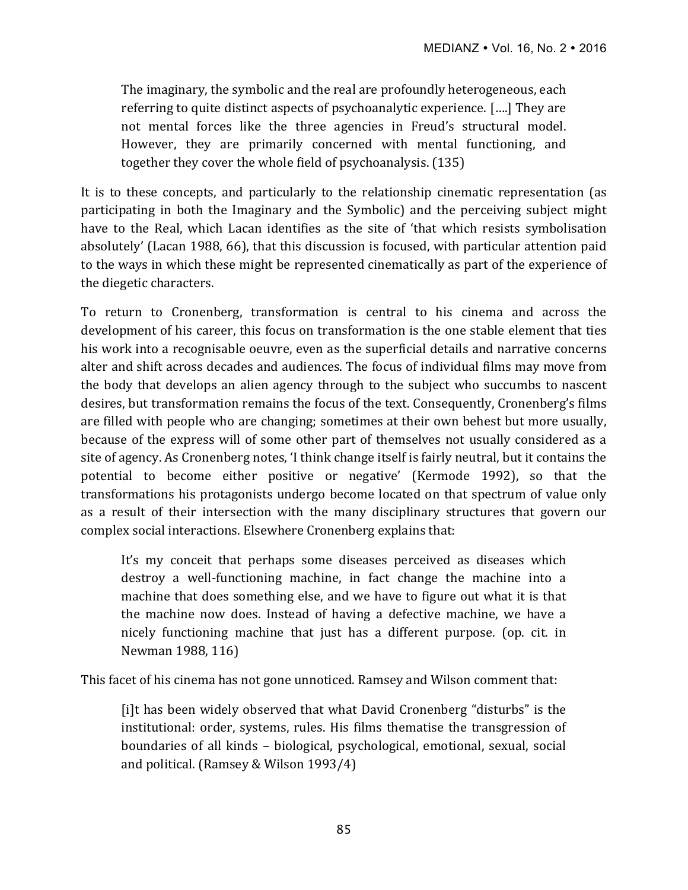The imaginary, the symbolic and the real are profoundly heterogeneous, each referring to quite distinct aspects of psychoanalytic experience.  $[\ldots]$  They are not mental forces like the three agencies in Freud's structural model. However, they are primarily concerned with mental functioning, and together they cover the whole field of psychoanalysis. (135)

It is to these concepts, and particularly to the relationship cinematic representation (as participating in both the Imaginary and the Symbolic) and the perceiving subject might have to the Real, which Lacan identifies as the site of 'that which resists symbolisation absolutely' (Lacan 1988, 66), that this discussion is focused, with particular attention paid to the ways in which these might be represented cinematically as part of the experience of the diegetic characters.

To return to Cronenberg, transformation is central to his cinema and across the development of his career, this focus on transformation is the one stable element that ties his work into a recognisable oeuvre, even as the superficial details and narrative concerns alter and shift across decades and audiences. The focus of individual films may move from the body that develops an alien agency through to the subject who succumbs to nascent desires, but transformation remains the focus of the text. Consequently, Cronenberg's films are filled with people who are changing; sometimes at their own behest but more usually, because of the express will of some other part of themselves not usually considered as a site of agency. As Cronenberg notes, 'I think change itself is fairly neutral, but it contains the potential to become either positive or negative' (Kermode 1992), so that the transformations his protagonists undergo become located on that spectrum of value only as a result of their intersection with the many disciplinary structures that govern our complex social interactions. Elsewhere Cronenberg explains that:

It's my conceit that perhaps some diseases perceived as diseases which destroy a well-functioning machine, in fact change the machine into a machine that does something else, and we have to figure out what it is that the machine now does. Instead of having a defective machine, we have a nicely functioning machine that just has a different purpose. (op. cit. in Newman 1988, 116)

This facet of his cinema has not gone unnoticed. Ramsey and Wilson comment that:

[i]t has been widely observed that what David Cronenberg "disturbs" is the institutional: order, systems, rules. His films thematise the transgression of boundaries of all kinds - biological, psychological, emotional, sexual, social and political. (Ramsey & Wilson  $1993/4$ )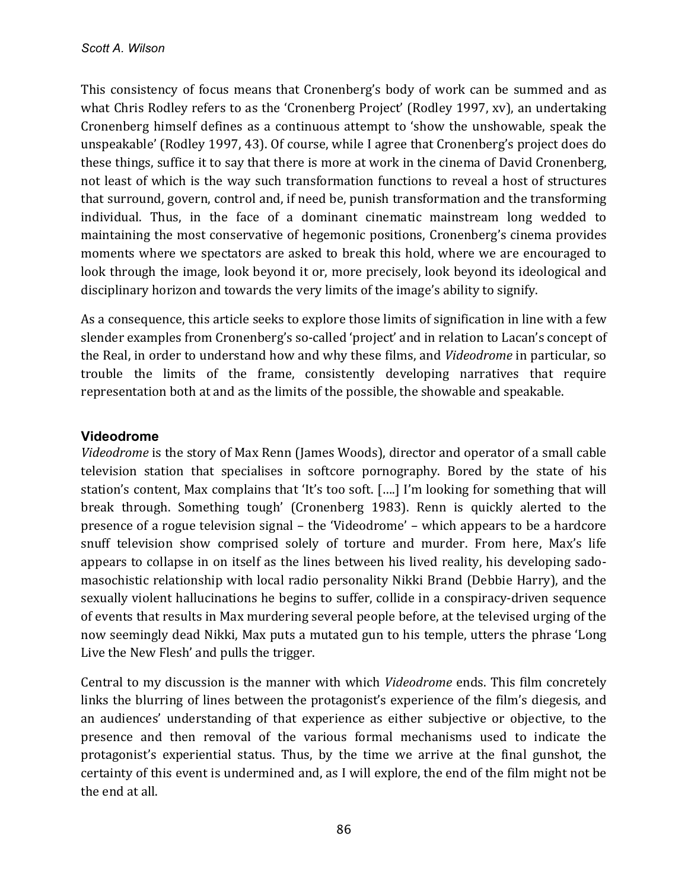This consistency of focus means that Cronenberg's body of work can be summed and as what Chris Rodley refers to as the 'Cronenberg Project' (Rodley 1997, xv), an undertaking Cronenberg himself defines as a continuous attempt to 'show the unshowable, speak the unspeakable' (Rodley 1997, 43). Of course, while I agree that Cronenberg's project does do these things, suffice it to say that there is more at work in the cinema of David Cronenberg, not least of which is the way such transformation functions to reveal a host of structures that surround, govern, control and, if need be, punish transformation and the transforming individual. Thus, in the face of a dominant cinematic mainstream long wedded to maintaining the most conservative of hegemonic positions, Cronenberg's cinema provides moments where we spectators are asked to break this hold, where we are encouraged to look through the image, look beyond it or, more precisely, look beyond its ideological and disciplinary horizon and towards the very limits of the image's ability to signify.

As a consequence, this article seeks to explore those limits of signification in line with a few slender examples from Cronenberg's so-called 'project' and in relation to Lacan's concept of the Real, in order to understand how and why these films, and *Videodrome* in particular, so trouble the limits of the frame, consistently developing narratives that require representation both at and as the limits of the possible, the showable and speakable.

# **Videodrome**

*Videodrome* is the story of Max Renn (James Woods), director and operator of a small cable television station that specialises in softcore pornography. Bored by the state of his station's content, Max complains that 'It's too soft. [....] I'm looking for something that will break through. Something tough' (Cronenberg 1983). Renn is quickly alerted to the presence of a rogue television signal – the 'Videodrome' – which appears to be a hardcore snuff television show comprised solely of torture and murder. From here, Max's life appears to collapse in on itself as the lines between his lived reality, his developing sadomasochistic relationship with local radio personality Nikki Brand (Debbie Harry), and the sexually violent hallucinations he begins to suffer, collide in a conspiracy-driven sequence of events that results in Max murdering several people before, at the televised urging of the now seemingly dead Nikki, Max puts a mutated gun to his temple, utters the phrase 'Long Live the New Flesh' and pulls the trigger.

Central to my discussion is the manner with which *Videodrome* ends. This film concretely links the blurring of lines between the protagonist's experience of the film's diegesis, and an audiences' understanding of that experience as either subjective or objective, to the presence and then removal of the various formal mechanisms used to indicate the protagonist's experiential status. Thus, by the time we arrive at the final gunshot, the certainty of this event is undermined and, as I will explore, the end of the film might not be the end at all.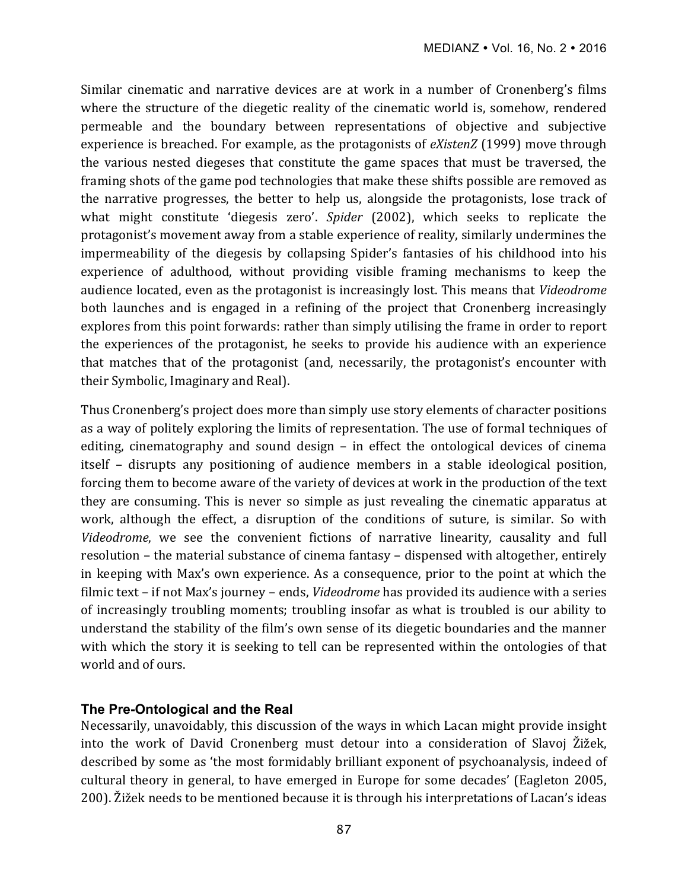Similar cinematic and narrative devices are at work in a number of Cronenberg's films where the structure of the diegetic reality of the cinematic world is, somehow, rendered permeable and the boundary between representations of objective and subjective experience is breached. For example, as the protagonists of *eXistenZ* (1999) move through the various nested diegeses that constitute the game spaces that must be traversed, the framing shots of the game pod technologies that make these shifts possible are removed as the narrative progresses, the better to help us, alongside the protagonists, lose track of what might constitute 'diegesis zero'. *Spider* (2002), which seeks to replicate the protagonist's movement away from a stable experience of reality, similarly undermines the impermeability of the diegesis by collapsing Spider's fantasies of his childhood into his experience of adulthood, without providing visible framing mechanisms to keep the audience located, even as the protagonist is increasingly lost. This means that *Videodrome* both launches and is engaged in a refining of the project that Cronenberg increasingly explores from this point forwards: rather than simply utilising the frame in order to report the experiences of the protagonist, he seeks to provide his audience with an experience that matches that of the protagonist (and, necessarily, the protagonist's encounter with their Symbolic, Imaginary and Real).

Thus Cronenberg's project does more than simply use story elements of character positions as a way of politely exploring the limits of representation. The use of formal techniques of editing, cinematography and sound design  $-$  in effect the ontological devices of cinema itself – disrupts any positioning of audience members in a stable ideological position, forcing them to become aware of the variety of devices at work in the production of the text they are consuming. This is never so simple as just revealing the cinematic apparatus at work, although the effect, a disruption of the conditions of suture, is similar. So with Videodrome, we see the convenient fictions of narrative linearity, causality and full resolution – the material substance of cinema fantasy – dispensed with altogether, entirely in keeping with Max's own experience. As a consequence, prior to the point at which the filmic text – if not Max's journey – ends, *Videodrome* has provided its audience with a series of increasingly troubling moments; troubling insofar as what is troubled is our ability to understand the stability of the film's own sense of its diegetic boundaries and the manner with which the story it is seeking to tell can be represented within the ontologies of that world and of ours.

## **The Pre-Ontological and the Real**

Necessarily, unavoidably, this discussion of the ways in which Lacan might provide insight into the work of David Cronenberg must detour into a consideration of Slavoj Žižek, described by some as 'the most formidably brilliant exponent of psychoanalysis, indeed of cultural theory in general, to have emerged in Europe for some decades' (Eagleton 2005, 200). Žižek needs to be mentioned because it is through his interpretations of Lacan's ideas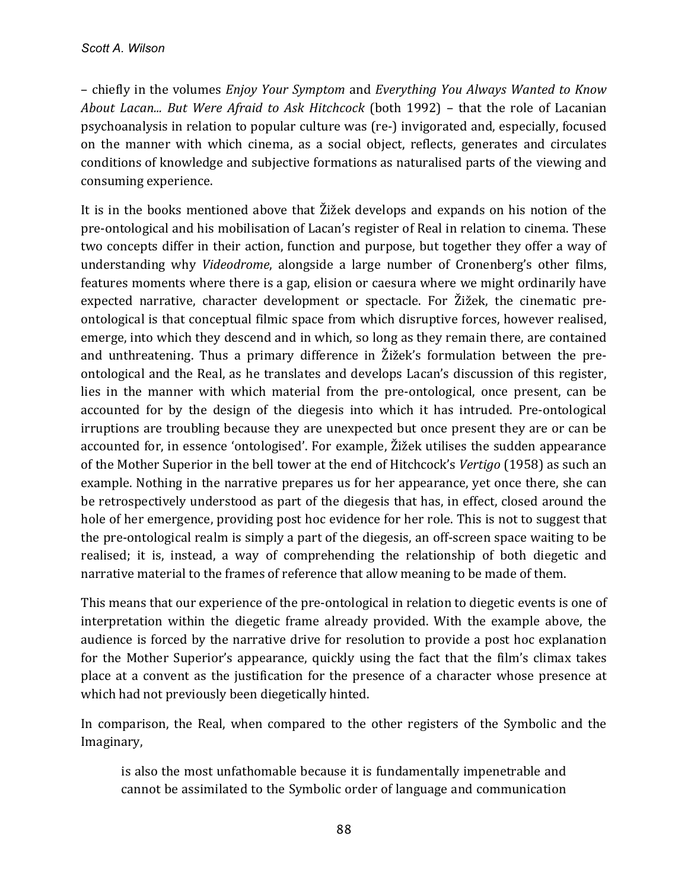– chiefly in the volumes *Enjoy Your Symptom* and *Everything You Always Wanted to Know About Lacan...* But Were Afraid to Ask Hitchcock (both 1992) – that the role of Lacanian psychoanalysis in relation to popular culture was (re-) invigorated and, especially, focused on the manner with which cinema, as a social object, reflects, generates and circulates conditions of knowledge and subjective formations as naturalised parts of the viewing and consuming experience.

It is in the books mentioned above that  $\tilde{Z}$  develops and expands on his notion of the pre-ontological and his mobilisation of Lacan's register of Real in relation to cinema. These two concepts differ in their action, function and purpose, but together they offer a way of understanding why *Videodrome*, alongside a large number of Cronenberg's other films, features moments where there is a gap, elision or caesura where we might ordinarily have expected narrative, character development or spectacle. For Žižek, the cinematic preontological is that conceptual filmic space from which disruptive forces, however realised, emerge, into which they descend and in which, so long as they remain there, are contained and unthreatening. Thus a primary difference in Žižek's formulation between the preontological and the Real, as he translates and develops Lacan's discussion of this register, lies in the manner with which material from the pre-ontological, once present, can be accounted for by the design of the diegesis into which it has intruded. Pre-ontological irruptions are troubling because they are unexpected but once present they are or can be accounted for, in essence 'ontologised'. For example, Žižek utilises the sudden appearance of the Mother Superior in the bell tower at the end of Hitchcock's *Vertigo* (1958) as such an example. Nothing in the narrative prepares us for her appearance, yet once there, she can be retrospectively understood as part of the diegesis that has, in effect, closed around the hole of her emergence, providing post hoc evidence for her role. This is not to suggest that the pre-ontological realm is simply a part of the diegesis, an off-screen space waiting to be realised; it is, instead, a way of comprehending the relationship of both diegetic and narrative material to the frames of reference that allow meaning to be made of them.

This means that our experience of the pre-ontological in relation to diegetic events is one of interpretation within the diegetic frame already provided. With the example above, the audience is forced by the narrative drive for resolution to provide a post hoc explanation for the Mother Superior's appearance, quickly using the fact that the film's climax takes place at a convent as the justification for the presence of a character whose presence at which had not previously been diegetically hinted.

In comparison, the Real, when compared to the other registers of the Symbolic and the Imaginary, 

is also the most unfathomable because it is fundamentally impenetrable and cannot be assimilated to the Symbolic order of language and communication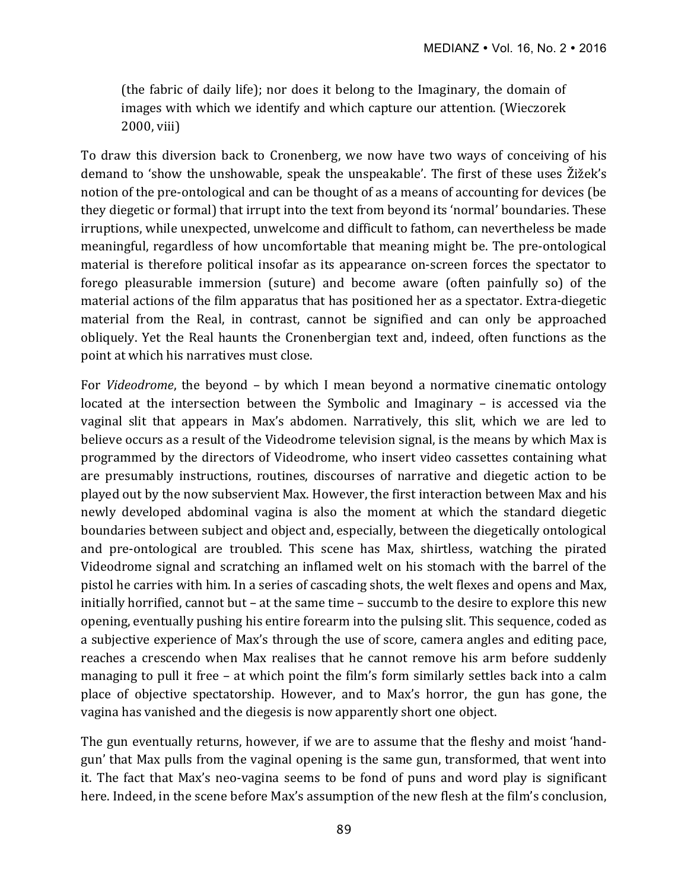(the fabric of daily life); nor does it belong to the Imaginary, the domain of images with which we identify and which capture our attention. (Wieczorek 2000, viii)

To draw this diversion back to Cronenberg, we now have two ways of conceiving of his demand to 'show the unshowable, speak the unspeakable'. The first of these uses Žižek's notion of the pre-ontological and can be thought of as a means of accounting for devices (be they diegetic or formal) that irrupt into the text from beyond its 'normal' boundaries. These irruptions, while unexpected, unwelcome and difficult to fathom, can nevertheless be made meaningful, regardless of how uncomfortable that meaning might be. The pre-ontological material is therefore political insofar as its appearance on-screen forces the spectator to forego pleasurable immersion (suture) and become aware (often painfully so) of the material actions of the film apparatus that has positioned her as a spectator. Extra-diegetic material from the Real, in contrast, cannot be signified and can only be approached obliquely. Yet the Real haunts the Cronenbergian text and, indeed, often functions as the point at which his narratives must close.

For *Videodrome*, the beyond – by which I mean beyond a normative cinematic ontology located at the intersection between the Symbolic and Imaginary  $-$  is accessed via the vaginal slit that appears in Max's abdomen. Narratively, this slit, which we are led to believe occurs as a result of the Videodrome television signal, is the means by which Max is programmed by the directors of Videodrome, who insert video cassettes containing what are presumably instructions, routines, discourses of narrative and diegetic action to be played out by the now subservient Max. However, the first interaction between Max and his newly developed abdominal vagina is also the moment at which the standard diegetic boundaries between subject and object and, especially, between the diegetically ontological and pre-ontological are troubled. This scene has Max, shirtless, watching the pirated Videodrome signal and scratching an inflamed welt on his stomach with the barrel of the pistol he carries with him. In a series of cascading shots, the welt flexes and opens and Max, initially horrified, cannot but – at the same time – succumb to the desire to explore this new opening, eventually pushing his entire forearm into the pulsing slit. This sequence, coded as a subjective experience of Max's through the use of score, camera angles and editing pace, reaches a crescendo when Max realises that he cannot remove his arm before suddenly managing to pull it free  $-$  at which point the film's form similarly settles back into a calm place of objective spectatorship. However, and to Max's horror, the gun has gone, the vagina has vanished and the diegesis is now apparently short one object.

The gun eventually returns, however, if we are to assume that the fleshy and moist 'handgun' that Max pulls from the vaginal opening is the same gun, transformed, that went into it. The fact that Max's neo-vagina seems to be fond of puns and word play is significant here. Indeed, in the scene before Max's assumption of the new flesh at the film's conclusion,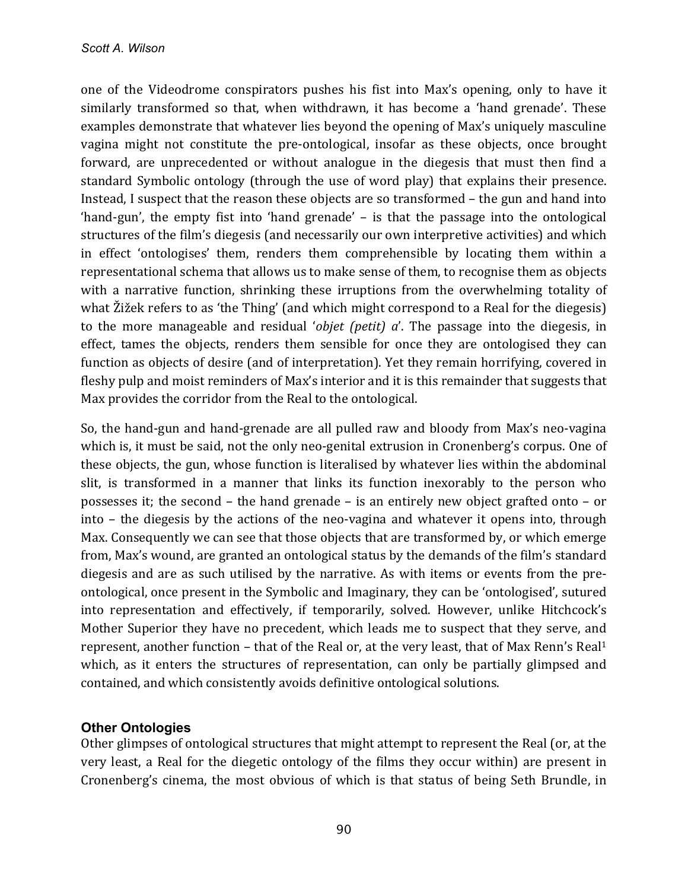one of the Videodrome conspirators pushes his fist into Max's opening, only to have it similarly transformed so that, when withdrawn, it has become a 'hand grenade'. These examples demonstrate that whatever lies beyond the opening of Max's uniquely masculine vagina might not constitute the pre-ontological, insofar as these objects, once brought forward, are unprecedented or without analogue in the diegesis that must then find a standard Symbolic ontology (through the use of word play) that explains their presence. Instead, I suspect that the reason these objects are so transformed  $-$  the gun and hand into 'hand-gun', the empty fist into 'hand grenade' – is that the passage into the ontological structures of the film's diegesis (and necessarily our own interpretive activities) and which in effect 'ontologises' them, renders them comprehensible by locating them within a representational schema that allows us to make sense of them, to recognise them as objects with a narrative function, shrinking these irruptions from the overwhelming totality of what  $\tilde{Z}$ ižek refers to as 'the Thing' (and which might correspond to a Real for the diegesis) to the more manageable and residual '*objet (petit)* a'. The passage into the diegesis, in effect, tames the objects, renders them sensible for once they are ontologised they can function as objects of desire (and of interpretation). Yet they remain horrifying, covered in fleshy pulp and moist reminders of Max's interior and it is this remainder that suggests that Max provides the corridor from the Real to the ontological.

So, the hand-gun and hand-grenade are all pulled raw and bloody from Max's neo-vagina which is, it must be said, not the only neo-genital extrusion in Cronenberg's corpus. One of these objects, the gun, whose function is literalised by whatever lies within the abdominal slit, is transformed in a manner that links its function inexorably to the person who possesses it; the second – the hand grenade – is an entirely new object grafted onto – or into  $-$  the diegesis by the actions of the neo-vagina and whatever it opens into, through Max. Consequently we can see that those objects that are transformed by, or which emerge from, Max's wound, are granted an ontological status by the demands of the film's standard diegesis and are as such utilised by the narrative. As with items or events from the preontological, once present in the Symbolic and Imaginary, they can be 'ontologised', sutured into representation and effectively, if temporarily, solved. However, unlike Hitchcock's Mother Superior they have no precedent, which leads me to suspect that they serve, and represent, another function – that of the Real or, at the very least, that of Max Renn's Real<sup>1</sup> which, as it enters the structures of representation, can only be partially glimpsed and contained, and which consistently avoids definitive ontological solutions.

## **Other Ontologies**

Other glimpses of ontological structures that might attempt to represent the Real (or, at the very least, a Real for the diegetic ontology of the films they occur within) are present in Cronenberg's cinema, the most obvious of which is that status of being Seth Brundle, in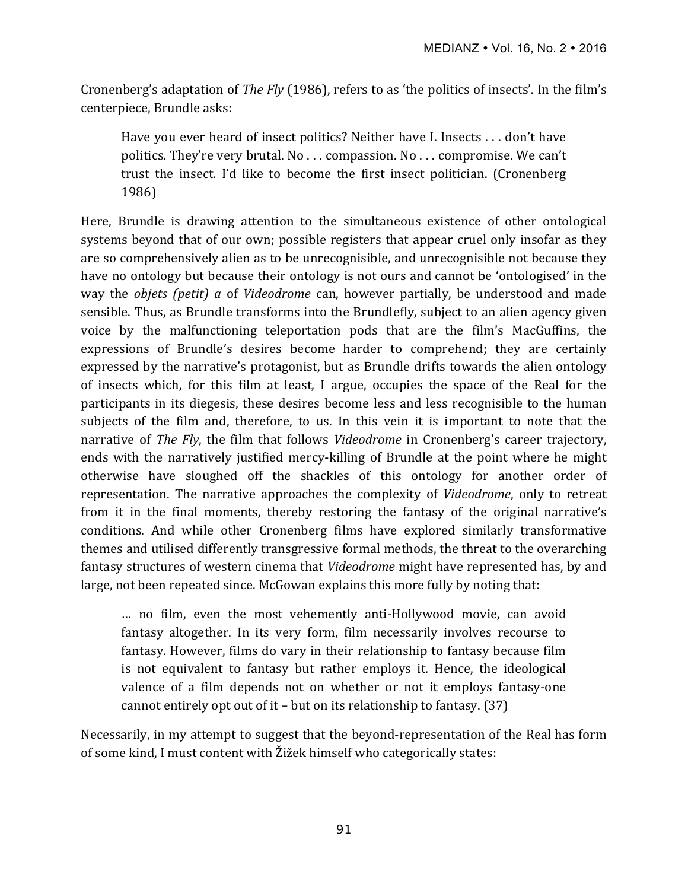Cronenberg's adaptation of *The Fly* (1986), refers to as 'the politics of insects'. In the film's centerpiece, Brundle asks:

Have you ever heard of insect politics? Neither have I. Insects . . . don't have politics. They're very brutal. No  $\ldots$  compassion. No  $\ldots$  compromise. We can't trust the insect. I'd like to become the first insect politician. (Cronenberg 1986) 

Here, Brundle is drawing attention to the simultaneous existence of other ontological systems beyond that of our own; possible registers that appear cruel only insofar as they are so comprehensively alien as to be unrecognisible, and unrecognisible not because they have no ontology but because their ontology is not ours and cannot be 'ontologised' in the way the *objets (petit) a* of *Videodrome* can, however partially, be understood and made sensible. Thus, as Brundle transforms into the Brundlefly, subject to an alien agency given voice by the malfunctioning teleportation pods that are the film's MacGuffins, the expressions of Brundle's desires become harder to comprehend; they are certainly expressed by the narrative's protagonist, but as Brundle drifts towards the alien ontology of insects which, for this film at least, I argue, occupies the space of the Real for the participants in its diegesis, these desires become less and less recognisible to the human subjects of the film and, therefore, to us. In this vein it is important to note that the narrative of *The Fly*, the film that follows *Videodrome* in Cronenberg's career trajectory, ends with the narratively justified mercy-killing of Brundle at the point where he might otherwise have sloughed off the shackles of this ontology for another order of representation. The narrative approaches the complexity of *Videodrome*, only to retreat from it in the final moments, thereby restoring the fantasy of the original narrative's conditions. And while other Cronenberg films have explored similarly transformative themes and utilised differently transgressive formal methods, the threat to the overarching fantasy structures of western cinema that *Videodrome* might have represented has, by and large, not been repeated since. McGowan explains this more fully by noting that:

... no film, even the most vehemently anti-Hollywood movie, can avoid fantasy altogether. In its very form, film necessarily involves recourse to fantasy. However, films do vary in their relationship to fantasy because film is not equivalent to fantasy but rather employs it. Hence, the ideological valence of a film depends not on whether or not it employs fantasy-one cannot entirely opt out of it – but on its relationship to fantasy.  $(37)$ 

Necessarily, in my attempt to suggest that the beyond-representation of the Real has form of some kind, I must content with  $\tilde{Z}$ ižek himself who categorically states: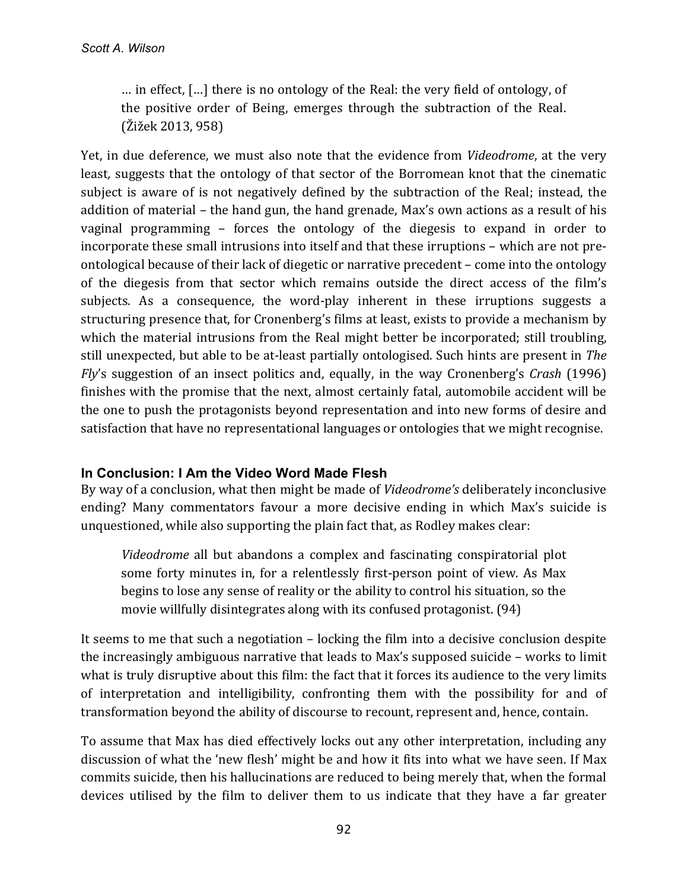... in effect,  $[\ldots]$  there is no ontology of the Real: the very field of ontology, of the positive order of Being, emerges through the subtraction of the Real.  $(Žižek 2013, 958)$ 

Yet, in due deference, we must also note that the evidence from *Videodrome*, at the very least, suggests that the ontology of that sector of the Borromean knot that the cinematic subject is aware of is not negatively defined by the subtraction of the Real; instead, the addition of material – the hand gun, the hand grenade, Max's own actions as a result of his vaginal programming  $-$  forces the ontology of the diegesis to expand in order to incorporate these small intrusions into itself and that these irruptions - which are not preontological because of their lack of diegetic or narrative precedent – come into the ontology of the diegesis from that sector which remains outside the direct access of the film's subjects. As a consequence, the word-play inherent in these irruptions suggests a structuring presence that, for Cronenberg's films at least, exists to provide a mechanism by which the material intrusions from the Real might better be incorporated; still troubling, still unexpected, but able to be at-least partially ontologised. Such hints are present in *The Fly's* suggestion of an insect politics and, equally, in the way Cronenberg's *Crash* (1996) finishes with the promise that the next, almost certainly fatal, automobile accident will be the one to push the protagonists beyond representation and into new forms of desire and satisfaction that have no representational languages or ontologies that we might recognise.

# **In Conclusion: I Am the Video Word Made Flesh**

By way of a conclusion, what then might be made of *Videodrome's* deliberately inconclusive ending? Many commentators favour a more decisive ending in which Max's suicide is unquestioned, while also supporting the plain fact that, as Rodley makes clear:

*Videodrome* all but abandons a complex and fascinating conspiratorial plot some forty minutes in, for a relentlessly first-person point of view. As Max begins to lose any sense of reality or the ability to control his situation, so the movie willfully disintegrates along with its confused protagonist. (94)

It seems to me that such a negotiation  $-$  locking the film into a decisive conclusion despite the increasingly ambiguous narrative that leads to Max's supposed suicide  $-$  works to limit what is truly disruptive about this film: the fact that it forces its audience to the very limits of interpretation and intelligibility, confronting them with the possibility for and of transformation beyond the ability of discourse to recount, represent and, hence, contain.

To assume that Max has died effectively locks out any other interpretation, including any discussion of what the 'new flesh' might be and how it fits into what we have seen. If Max commits suicide, then his hallucinations are reduced to being merely that, when the formal devices utilised by the film to deliver them to us indicate that they have a far greater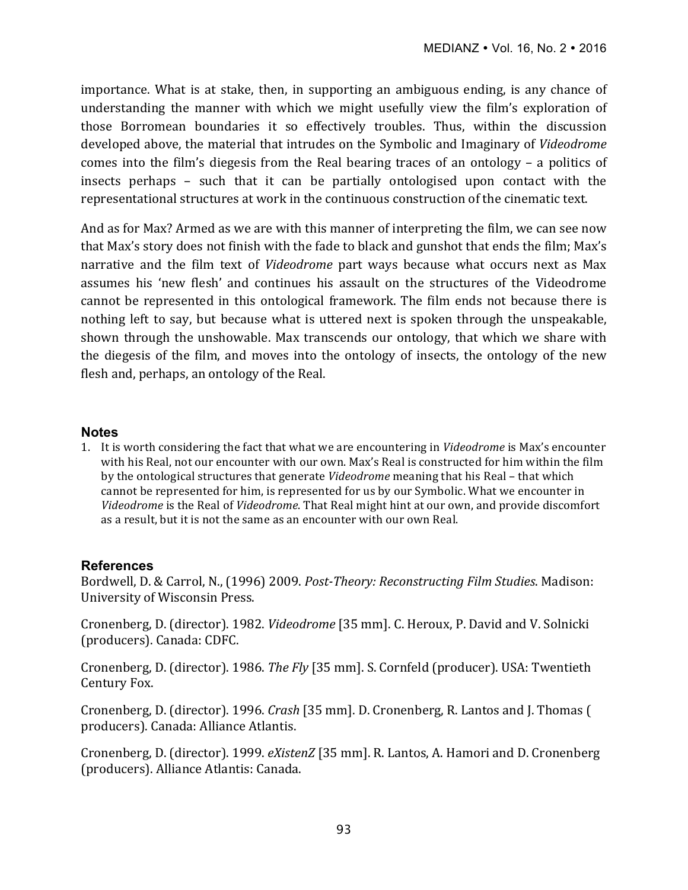importance. What is at stake, then, in supporting an ambiguous ending, is any chance of understanding the manner with which we might usefully view the film's exploration of those Borromean boundaries it so effectively troubles. Thus, within the discussion developed above, the material that intrudes on the Symbolic and Imaginary of *Videodrome* comes into the film's diegesis from the Real bearing traces of an ontology  $-$  a politics of insects perhaps  $-$  such that it can be partially ontologised upon contact with the representational structures at work in the continuous construction of the cinematic text.

And as for Max? Armed as we are with this manner of interpreting the film, we can see now that Max's story does not finish with the fade to black and gunshot that ends the film; Max's narrative and the film text of *Videodrome* part ways because what occurs next as Max assumes his 'new flesh' and continues his assault on the structures of the Videodrome cannot be represented in this ontological framework. The film ends not because there is nothing left to say, but because what is uttered next is spoken through the unspeakable, shown through the unshowable. Max transcends our ontology, that which we share with the diegesis of the film, and moves into the ontology of insects, the ontology of the new flesh and, perhaps, an ontology of the Real.

## **Notes**

1. It is worth considering the fact that what we are encountering in *Videodrome* is Max's encounter with his Real, not our encounter with our own. Max's Real is constructed for him within the film by the ontological structures that generate *Videodrome* meaning that his Real - that which cannot be represented for him, is represented for us by our Symbolic. What we encounter in Videodrome is the Real of Videodrome. That Real might hint at our own, and provide discomfort as a result, but it is not the same as an encounter with our own Real.

# **References**

Bordwell, D. & Carrol, N., (1996) 2009. Post-Theory: Reconstructing Film Studies. Madison: University of Wisconsin Press.

Cronenberg, D. (director). 1982. *Videodrome* [35 mm]. C. Heroux, P. David and V. Solnicki (producers). Canada: CDFC.

Cronenberg, D. (director). 1986. *The Fly* [35 mm]. S. Cornfeld (producer). USA: Twentieth Century Fox.

Cronenberg, D. (director). 1996. *Crash* [35 mm]. D. Cronenberg, R. Lantos and J. Thomas ( producers). Canada: Alliance Atlantis.

Cronenberg, D. (director). 1999. *eXistenZ* [35 mm]. R. Lantos, A. Hamori and D. Cronenberg (producers). Alliance Atlantis: Canada.